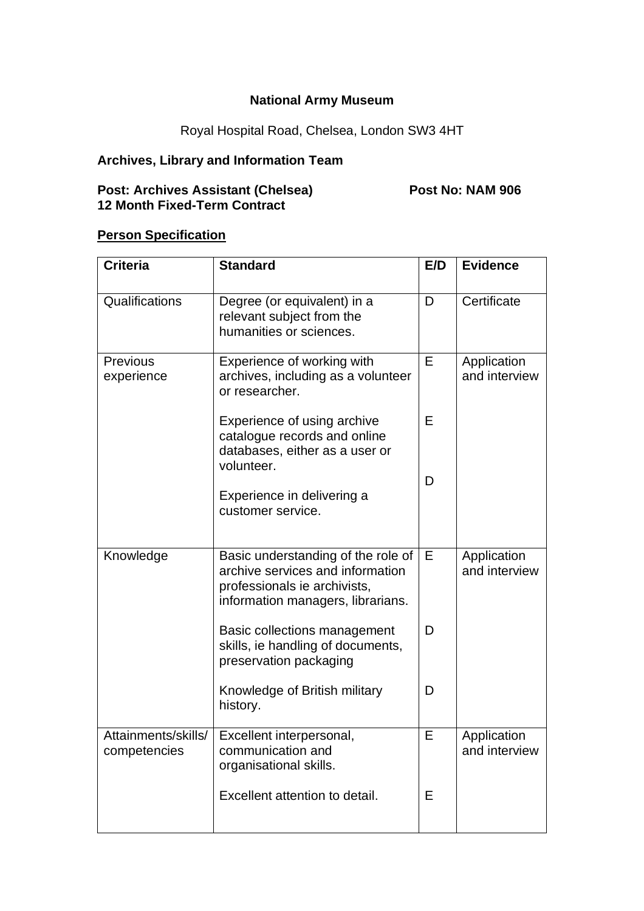### **National Army Museum**

# Royal Hospital Road, Chelsea, London SW3 4HT

## **Archives, Library and Information Team**

#### **Post: Archives Assistant (Chelsea) Post No: NAM 906 12 Month Fixed-Term Contract**

#### **Person Specification**

| <b>Criteria</b>                     | <b>Standard</b>                                                                                                                             | E/D | <b>Evidence</b>              |
|-------------------------------------|---------------------------------------------------------------------------------------------------------------------------------------------|-----|------------------------------|
| Qualifications                      | Degree (or equivalent) in a<br>relevant subject from the<br>humanities or sciences.                                                         | D   | Certificate                  |
| <b>Previous</b><br>experience       | Experience of working with<br>archives, including as a volunteer<br>or researcher.                                                          | E   | Application<br>and interview |
|                                     | Experience of using archive<br>catalogue records and online<br>databases, either as a user or<br>volunteer.                                 | Е   |                              |
|                                     | Experience in delivering a<br>customer service.                                                                                             | D   |                              |
| Knowledge                           | Basic understanding of the role of<br>archive services and information<br>professionals ie archivists,<br>information managers, librarians. | Е   | Application<br>and interview |
|                                     | Basic collections management<br>skills, ie handling of documents,<br>preservation packaging                                                 | D   |                              |
|                                     | Knowledge of British military<br>history.                                                                                                   | D   |                              |
| Attainments/skills/<br>competencies | Excellent interpersonal,<br>communication and<br>organisational skills.                                                                     | Е   | Application<br>and interview |
|                                     | Excellent attention to detail.                                                                                                              | E   |                              |